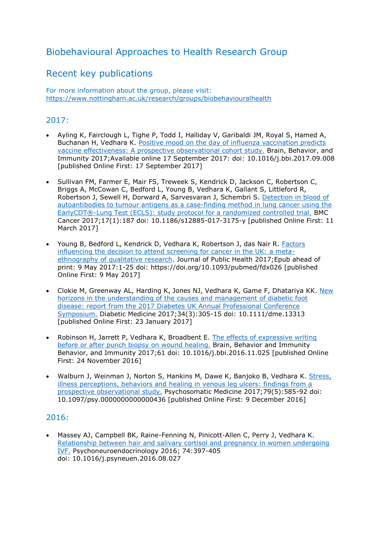# Biobehavioural Approaches to Health Research Group

## Recent key publications

For more information about the group, please visit: <https://www.nottingham.ac.uk/research/groups/biobehaviouralhealth>

### 2017:

- Ayling K, Fairclough L, Tighe P, Todd I, Halliday V, Garibaldi JM, Royal S, Hamed A, Buchanan H, Vedhara K. [Positive mood on the day of influenza vaccination predicts](http://www.sciencedirect.com/science/article/pii/S0889159117304233)  [vaccine effectiveness: A prospective observational cohort study.](http://www.sciencedirect.com/science/article/pii/S0889159117304233) Brain, Behavior, and Immunity 2017;Available online 17 September 2017: doi: 10.1016/j.bbi.2017.09.008 [published Online First: 17 September 2017]
- Sullivan FM, Farmer E, Mair FS, Treweek S, Kendrick D, Jackson C, Robertson C, Briggs A, McCowan C, Bedford L, Young B, Vedhara K, Gallant S, Littleford R, Robertson J, Sewell H, Dorward A, Sarvesvaran J, Schembri S. [Detection in blood of](http://dx.doi.org/10.1186/s12885-017-3175-y)  [autoantibodies to tumour antigens as a case-finding method in lung cancer using the](http://dx.doi.org/10.1186/s12885-017-3175-y)  [EarlyCDT®-Lung Test \(ECLS\): study protocol for a randomized controlled trial.](http://dx.doi.org/10.1186/s12885-017-3175-y) BMC Cancer 2017;17(1):187 doi: 10.1186/s12885-017-3175-y [published Online First: 11 March 2017]
- Young B, Bedford L, Kendrick D, Vedhara K, Robertson J, das Nair R. [Factors](https://academic.oup.com/jpubhealth/article-lookup/doi/10.1093/pubmed/fdx026)  [influencing the decision to attend screening for cancer in the UK: a meta](https://academic.oup.com/jpubhealth/article-lookup/doi/10.1093/pubmed/fdx026)[ethnography of qualitative research.](https://academic.oup.com/jpubhealth/article-lookup/doi/10.1093/pubmed/fdx026) Journal of Public Health 2017;Epub ahead of print: 9 May 2017:1-25 doi: https://doi.org/10.1093/pubmed/fdx026 [published Online First: 9 May 2017]
- Clokie M, Greenway AL, Harding K, Jones NJ, Vedhara K, Game F, Dhatariya KK. New [horizons in the understanding of the causes and management of diabetic foot](http://onlinelibrary.wiley.com/doi/10.1111/dme.13313/abstract)  [disease: report from the 2017 Diabetes UK Annual Professional Conference](http://onlinelibrary.wiley.com/doi/10.1111/dme.13313/abstract)  [Symposium.](http://onlinelibrary.wiley.com/doi/10.1111/dme.13313/abstract) Diabetic Medicine 2017;34(3):305-15 doi: 10.1111/dme.13313 [published Online First: 23 January 2017]
- Robinson H, Jarrett P, Vedhara K, Broadbent E. [The effects of expressive writing](http://www.sciencedirect.com/science/article/pii/S088915911630527X)  before [or after punch biopsy on wound healing.](http://www.sciencedirect.com/science/article/pii/S088915911630527X) Brain, Behavior and Immunity Behavior, and Immunity 2017;61 doi: 10.1016/j.bbi.2016.11.025 [published Online First: 24 November 2016]
- Walburn J, Weinman J, Norton S, Hankins M, Dawe K, Banjoko B, Vedhara K. [Stress,](http://journals.lww.com/psychosomaticmedicine/Fulltext/publishahead/Stress,_Illness_Perceptions,_Behaviours_and.98865.aspx) [illness perceptions, behaviors and healing in venous leg ulcers: findings from a](http://journals.lww.com/psychosomaticmedicine/Fulltext/publishahead/Stress,_Illness_Perceptions,_Behaviours_and.98865.aspx)  [prospective observational study.](http://journals.lww.com/psychosomaticmedicine/Fulltext/publishahead/Stress,_Illness_Perceptions,_Behaviours_and.98865.aspx) Psychosomatic Medicine 2017;79(5):585-92 doi: 10.1097/psy.0000000000000436 [published Online First: 9 December 2016]

#### 2016:

 Massey AJ, Campbell BK, Raine-Fenning N, Pinicott-Allen C, Perry J, Vedhara K. [Relationship between hair and salivary cortisol and pregnancy in women undergoing](http://www.sciencedirect.com/science/article/pii/S0306453016306229)  [IVF.](http://www.sciencedirect.com/science/article/pii/S0306453016306229) Psychoneuroendocrinology 2016; 74:397-405 doi: 10.1016/j.psyneuen.2016.08.027